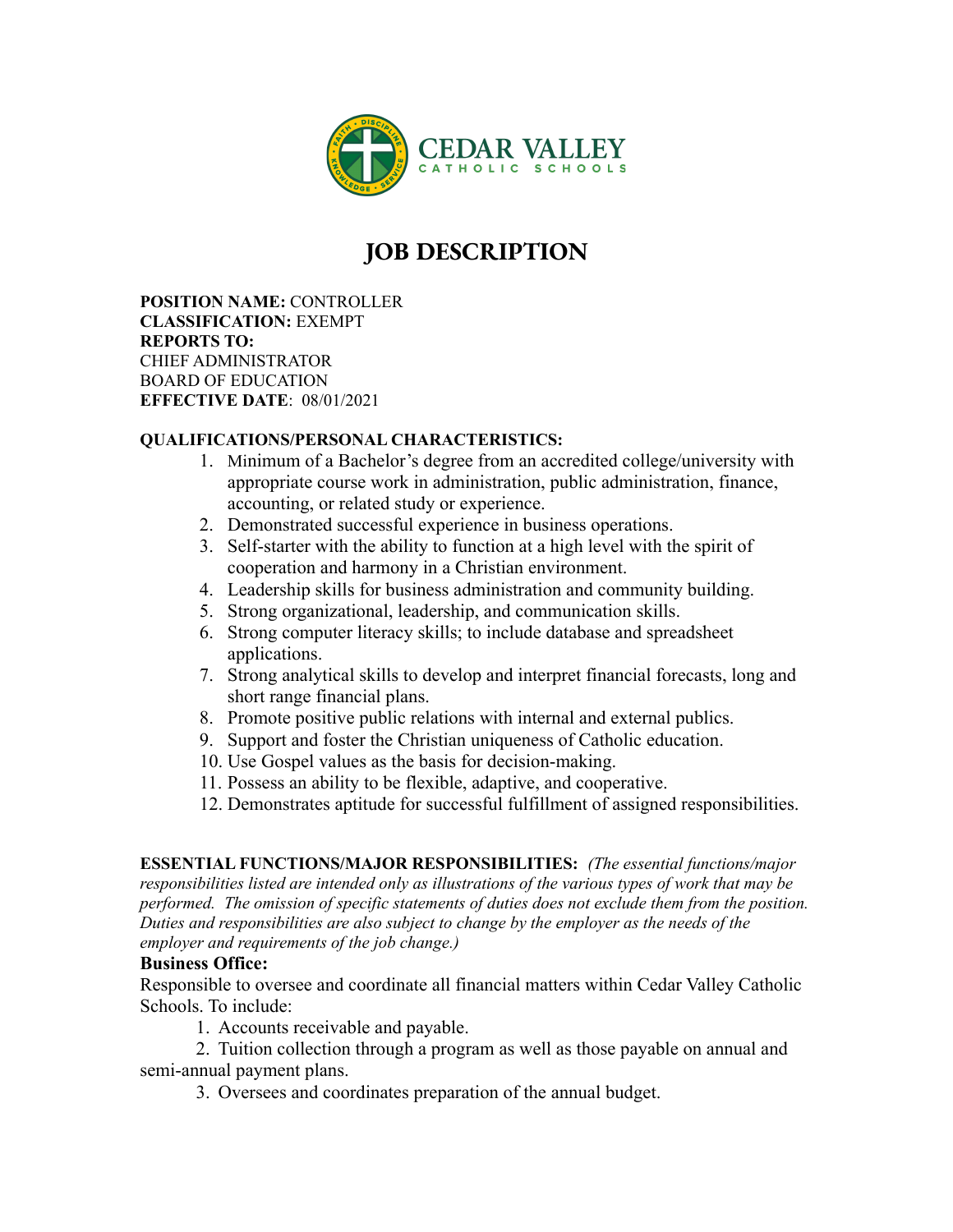

## **JOB DESCRIPTION**

**POSITION NAME:** CONTROLLER **CLASSIFICATION:** EXEMPT **REPORTS TO:** CHIEF ADMINISTRATOR BOARD OF EDUCATION **EFFECTIVE DATE**: 08/01/2021

## **QUALIFICATIONS/PERSONAL CHARACTERISTICS:**

- 1. Minimum of a Bachelor's degree from an accredited college/university with appropriate course work in administration, public administration, finance, accounting, or related study or experience.
- 2. Demonstrated successful experience in business operations.
- 3. Self-starter with the ability to function at a high level with the spirit of cooperation and harmony in a Christian environment.
- 4. Leadership skills for business administration and community building.
- 5. Strong organizational, leadership, and communication skills.
- 6. Strong computer literacy skills; to include database and spreadsheet applications.
- 7. Strong analytical skills to develop and interpret financial forecasts, long and short range financial plans.
- 8. Promote positive public relations with internal and external publics.
- 9. Support and foster the Christian uniqueness of Catholic education.
- 10. Use Gospel values as the basis for decision-making.
- 11. Possess an ability to be flexible, adaptive, and cooperative.
- 12. Demonstrates aptitude for successful fulfillment of assigned responsibilities.

**ESSENTIAL FUNCTIONS/MAJOR RESPONSIBILITIES:** *(The essential functions/major responsibilities listed are intended only as illustrations of the various types of work that may be performed. The omission of specific statements of duties does not exclude them from the position. Duties and responsibilities are also subject to change by the employer as the needs of the employer and requirements of the job change.)*

## **Business Office:**

Responsible to oversee and coordinate all financial matters within Cedar Valley Catholic Schools. To include:

1. Accounts receivable and payable.

2. Tuition collection through a program as well as those payable on annual and semi-annual payment plans.

3. Oversees and coordinates preparation of the annual budget.